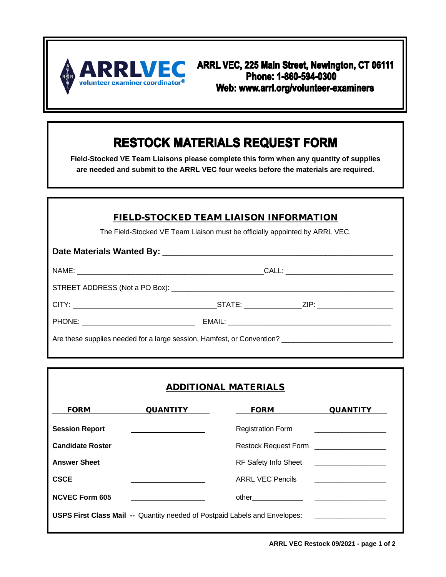

ARRL VEC, 225 Main Street, Newington, CT 06111 Phone: 1-860-594-0300 Web: www.arrl.org/volunteer-examiners

## **RESTOCK MATERIALS REQUEST FORM**

**Field-Stocked VE Team Liaisons please complete this form when any quantity of supplies are needed and submit to the ARRL VEC four weeks before the materials are required.**

| <b>FIELD-STOCKED TEAM LIAISON INFORMATION</b>                               |  |
|-----------------------------------------------------------------------------|--|
| The Field-Stocked VE Team Liaison must be officially appointed by ARRL VEC. |  |
|                                                                             |  |
|                                                                             |  |
|                                                                             |  |
|                                                                             |  |
|                                                                             |  |
| Are these supplies needed for a large session, Hamfest, or Convention?      |  |

## ADDITIONAL MATERIALS

| <b>FORM</b>             | <b>QUANTITY</b>                                                                   | <b>FORM</b>                               | <b>QUANTITY</b>                                                                                                       |
|-------------------------|-----------------------------------------------------------------------------------|-------------------------------------------|-----------------------------------------------------------------------------------------------------------------------|
| <b>Session Report</b>   |                                                                                   | <b>Registration Form</b>                  | the control of the control of the control of the control of the control of                                            |
| <b>Candidate Roster</b> |                                                                                   | Restock Request Form ____________________ |                                                                                                                       |
| <b>Answer Sheet</b>     |                                                                                   | RF Safety Info Sheet                      | <u> Termin a shekara ta 1999 a Tanzania a Tanzania a Tanzania a Tanzania a Tanzania a Tanzania a Tanzania a Tanza</u> |
| <b>CSCE</b>             |                                                                                   | <b>ARRL VEC Pencils</b>                   | <u> 1980 - Jan Barnett, fransk politiker (d. 1980)</u>                                                                |
| <b>NCVEC Form 605</b>   |                                                                                   |                                           |                                                                                                                       |
|                         | <b>USPS First Class Mail -- Quantity needed of Postpaid Labels and Envelopes:</b> |                                           |                                                                                                                       |